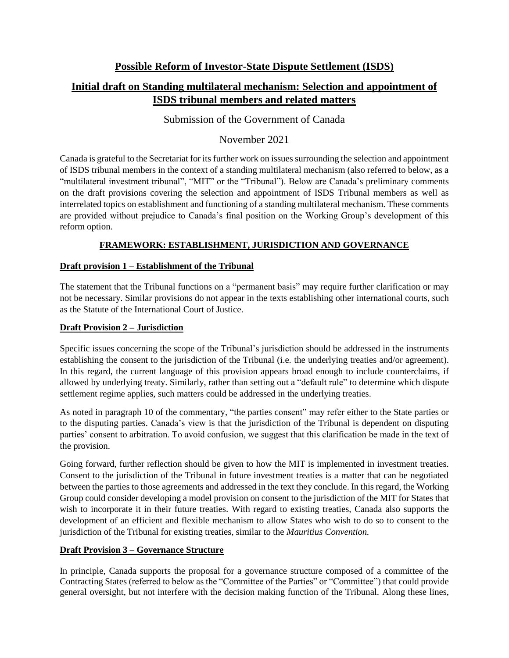# **Possible Reform of Investor-State Dispute Settlement (ISDS)**

# **Initial draft on Standing multilateral mechanism: Selection and appointment of ISDS tribunal members and related matters**

# Submission of the Government of Canada

# November 2021

Canada is grateful to the Secretariat for its further work on issues surrounding the selection and appointment of ISDS tribunal members in the context of a standing multilateral mechanism (also referred to below, as a "multilateral investment tribunal", "MIT" or the "Tribunal"). Below are Canada's preliminary comments on the draft provisions covering the selection and appointment of ISDS Tribunal members as well as interrelated topics on establishment and functioning of a standing multilateral mechanism. These comments are provided without prejudice to Canada's final position on the Working Group's development of this reform option.

# **FRAMEWORK: ESTABLISHMENT, JURISDICTION AND GOVERNANCE**

# **Draft provision 1 – Establishment of the Tribunal**

The statement that the Tribunal functions on a "permanent basis" may require further clarification or may not be necessary. Similar provisions do not appear in the texts establishing other international courts, such as the Statute of the International Court of Justice.

# **Draft Provision 2 – Jurisdiction**

Specific issues concerning the scope of the Tribunal's jurisdiction should be addressed in the instruments establishing the consent to the jurisdiction of the Tribunal (i.e. the underlying treaties and/or agreement). In this regard, the current language of this provision appears broad enough to include counterclaims, if allowed by underlying treaty. Similarly, rather than setting out a "default rule" to determine which dispute settlement regime applies, such matters could be addressed in the underlying treaties.

As noted in paragraph 10 of the commentary, "the parties consent" may refer either to the State parties or to the disputing parties. Canada's view is that the jurisdiction of the Tribunal is dependent on disputing parties' consent to arbitration. To avoid confusion, we suggest that this clarification be made in the text of the provision.

Going forward, further reflection should be given to how the MIT is implemented in investment treaties. Consent to the jurisdiction of the Tribunal in future investment treaties is a matter that can be negotiated between the parties to those agreements and addressed in the text they conclude. In this regard, the Working Group could consider developing a model provision on consent to the jurisdiction of the MIT for States that wish to incorporate it in their future treaties. With regard to existing treaties, Canada also supports the development of an efficient and flexible mechanism to allow States who wish to do so to consent to the jurisdiction of the Tribunal for existing treaties, similar to the *Mauritius Convention.*

# **Draft Provision 3 – Governance Structure**

In principle, Canada supports the proposal for a governance structure composed of a committee of the Contracting States (referred to below as the "Committee of the Parties" or "Committee") that could provide general oversight, but not interfere with the decision making function of the Tribunal. Along these lines,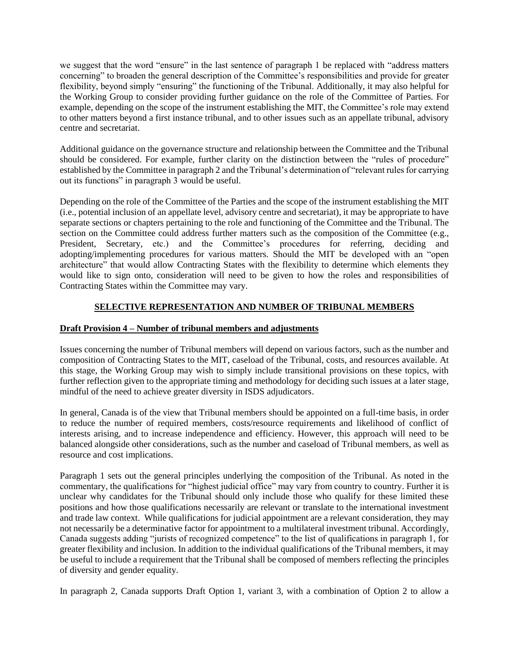we suggest that the word "ensure" in the last sentence of paragraph 1 be replaced with "address matters concerning" to broaden the general description of the Committee's responsibilities and provide for greater flexibility, beyond simply "ensuring" the functioning of the Tribunal. Additionally, it may also helpful for the Working Group to consider providing further guidance on the role of the Committee of Parties. For example, depending on the scope of the instrument establishing the MIT, the Committee's role may extend to other matters beyond a first instance tribunal, and to other issues such as an appellate tribunal, advisory centre and secretariat.

Additional guidance on the governance structure and relationship between the Committee and the Tribunal should be considered. For example, further clarity on the distinction between the "rules of procedure" established by the Committee in paragraph 2 and the Tribunal's determination of "relevant rules for carrying out its functions" in paragraph 3 would be useful.

Depending on the role of the Committee of the Parties and the scope of the instrument establishing the MIT (i.e., potential inclusion of an appellate level, advisory centre and secretariat), it may be appropriate to have separate sections or chapters pertaining to the role and functioning of the Committee and the Tribunal. The section on the Committee could address further matters such as the composition of the Committee (e.g., President, Secretary, etc.) and the Committee's procedures for referring, deciding and adopting/implementing procedures for various matters. Should the MIT be developed with an "open architecture" that would allow Contracting States with the flexibility to determine which elements they would like to sign onto, consideration will need to be given to how the roles and responsibilities of Contracting States within the Committee may vary.

# **SELECTIVE REPRESENTATION AND NUMBER OF TRIBUNAL MEMBERS**

# **Draft Provision 4 – Number of tribunal members and adjustments**

Issues concerning the number of Tribunal members will depend on various factors, such as the number and composition of Contracting States to the MIT, caseload of the Tribunal, costs, and resources available. At this stage, the Working Group may wish to simply include transitional provisions on these topics, with further reflection given to the appropriate timing and methodology for deciding such issues at a later stage, mindful of the need to achieve greater diversity in ISDS adjudicators.

In general, Canada is of the view that Tribunal members should be appointed on a full-time basis, in order to reduce the number of required members, costs/resource requirements and likelihood of conflict of interests arising, and to increase independence and efficiency. However, this approach will need to be balanced alongside other considerations, such as the number and caseload of Tribunal members, as well as resource and cost implications.

Paragraph 1 sets out the general principles underlying the composition of the Tribunal. As noted in the commentary, the qualifications for "highest judicial office" may vary from country to country. Further it is unclear why candidates for the Tribunal should only include those who qualify for these limited these positions and how those qualifications necessarily are relevant or translate to the international investment and trade law context. While qualifications for judicial appointment are a relevant consideration, they may not necessarily be a determinative factor for appointment to a multilateral investment tribunal. Accordingly, Canada suggests adding "jurists of recognized competence" to the list of qualifications in paragraph 1, for greater flexibility and inclusion. In addition to the individual qualifications of the Tribunal members, it may be useful to include a requirement that the Tribunal shall be composed of members reflecting the principles of diversity and gender equality.

In paragraph 2, Canada supports Draft Option 1, variant 3, with a combination of Option 2 to allow a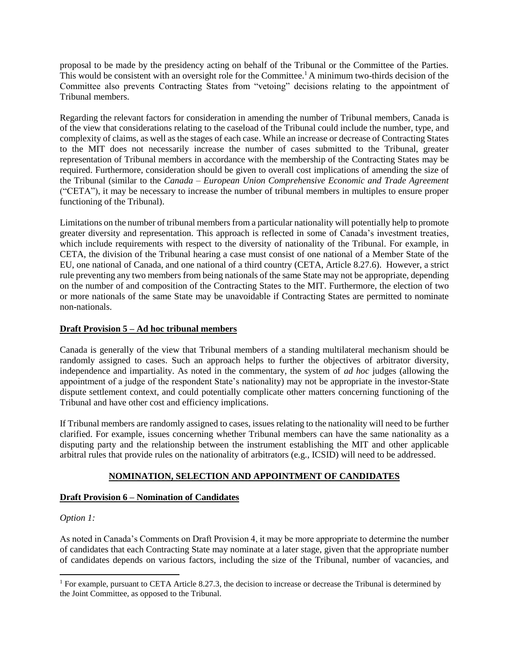proposal to be made by the presidency acting on behalf of the Tribunal or the Committee of the Parties. This would be consistent with an oversight role for the Committee.<sup>1</sup> A minimum two-thirds decision of the Committee also prevents Contracting States from "vetoing" decisions relating to the appointment of Tribunal members.

Regarding the relevant factors for consideration in amending the number of Tribunal members, Canada is of the view that considerations relating to the caseload of the Tribunal could include the number, type, and complexity of claims, as well as the stages of each case. While an increase or decrease of Contracting States to the MIT does not necessarily increase the number of cases submitted to the Tribunal, greater representation of Tribunal members in accordance with the membership of the Contracting States may be required. Furthermore, consideration should be given to overall cost implications of amending the size of the Tribunal (similar to the *Canada – European Union Comprehensive Economic and Trade Agreement* ("CETA"), it may be necessary to increase the number of tribunal members in multiples to ensure proper functioning of the Tribunal).

Limitations on the number of tribunal members from a particular nationality will potentially help to promote greater diversity and representation. This approach is reflected in some of Canada's investment treaties, which include requirements with respect to the diversity of nationality of the Tribunal. For example, in CETA, the division of the Tribunal hearing a case must consist of one national of a Member State of the EU, one national of Canada, and one national of a third country (CETA, Article 8.27.6). However, a strict rule preventing any two members from being nationals of the same State may not be appropriate, depending on the number of and composition of the Contracting States to the MIT. Furthermore, the election of two or more nationals of the same State may be unavoidable if Contracting States are permitted to nominate non-nationals.

# **Draft Provision 5 – Ad hoc tribunal members**

Canada is generally of the view that Tribunal members of a standing multilateral mechanism should be randomly assigned to cases. Such an approach helps to further the objectives of arbitrator diversity, independence and impartiality. As noted in the commentary, the system of *ad hoc* judges (allowing the appointment of a judge of the respondent State's nationality) may not be appropriate in the investor-State dispute settlement context, and could potentially complicate other matters concerning functioning of the Tribunal and have other cost and efficiency implications.

If Tribunal members are randomly assigned to cases, issues relating to the nationality will need to be further clarified. For example, issues concerning whether Tribunal members can have the same nationality as a disputing party and the relationship between the instrument establishing the MIT and other applicable arbitral rules that provide rules on the nationality of arbitrators (e.g., ICSID) will need to be addressed.

#### **NOMINATION, SELECTION AND APPOINTMENT OF CANDIDATES**

#### **Draft Provision 6 – Nomination of Candidates**

#### *Option 1:*

 $\overline{a}$ 

As noted in Canada's Comments on Draft Provision 4, it may be more appropriate to determine the number of candidates that each Contracting State may nominate at a later stage, given that the appropriate number of candidates depends on various factors, including the size of the Tribunal, number of vacancies, and

 $1$  For example, pursuant to CETA Article 8.27.3, the decision to increase or decrease the Tribunal is determined by the Joint Committee, as opposed to the Tribunal.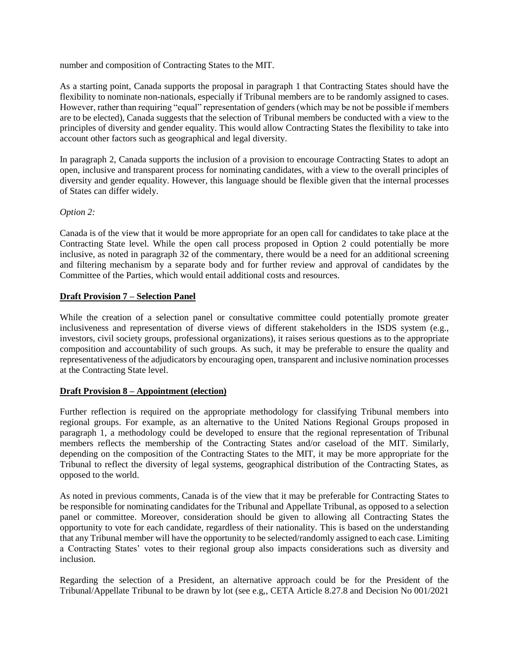number and composition of Contracting States to the MIT.

As a starting point, Canada supports the proposal in paragraph 1 that Contracting States should have the flexibility to nominate non-nationals, especially if Tribunal members are to be randomly assigned to cases. However, rather than requiring "equal" representation of genders (which may be not be possible if members are to be elected), Canada suggests that the selection of Tribunal members be conducted with a view to the principles of diversity and gender equality. This would allow Contracting States the flexibility to take into account other factors such as geographical and legal diversity.

In paragraph 2, Canada supports the inclusion of a provision to encourage Contracting States to adopt an open, inclusive and transparent process for nominating candidates, with a view to the overall principles of diversity and gender equality. However, this language should be flexible given that the internal processes of States can differ widely.

#### *Option 2:*

Canada is of the view that it would be more appropriate for an open call for candidates to take place at the Contracting State level. While the open call process proposed in Option 2 could potentially be more inclusive, as noted in paragraph 32 of the commentary, there would be a need for an additional screening and filtering mechanism by a separate body and for further review and approval of candidates by the Committee of the Parties, which would entail additional costs and resources.

#### **Draft Provision 7 – Selection Panel**

While the creation of a selection panel or consultative committee could potentially promote greater inclusiveness and representation of diverse views of different stakeholders in the ISDS system (e.g., investors, civil society groups, professional organizations), it raises serious questions as to the appropriate composition and accountability of such groups. As such, it may be preferable to ensure the quality and representativeness of the adjudicators by encouraging open, transparent and inclusive nomination processes at the Contracting State level.

#### **Draft Provision 8 – Appointment (election)**

Further reflection is required on the appropriate methodology for classifying Tribunal members into regional groups. For example, as an alternative to the United Nations Regional Groups proposed in paragraph 1, a methodology could be developed to ensure that the regional representation of Tribunal members reflects the membership of the Contracting States and/or caseload of the MIT. Similarly, depending on the composition of the Contracting States to the MIT, it may be more appropriate for the Tribunal to reflect the diversity of legal systems, geographical distribution of the Contracting States, as opposed to the world.

As noted in previous comments, Canada is of the view that it may be preferable for Contracting States to be responsible for nominating candidates for the Tribunal and Appellate Tribunal, as opposed to a selection panel or committee. Moreover, consideration should be given to allowing all Contracting States the opportunity to vote for each candidate, regardless of their nationality. This is based on the understanding that any Tribunal member will have the opportunity to be selected/randomly assigned to each case. Limiting a Contracting States' votes to their regional group also impacts considerations such as diversity and inclusion.

Regarding the selection of a President, an alternative approach could be for the President of the Tribunal/Appellate Tribunal to be drawn by lot (see e.g,, CETA Article 8.27.8 and Decision No 001/2021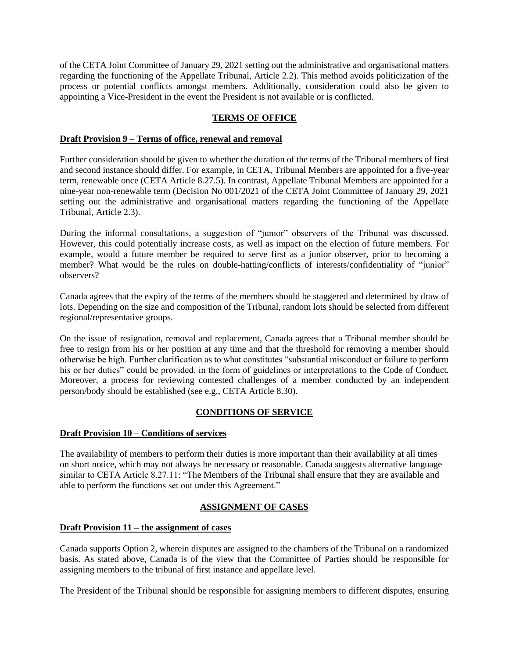of the CETA Joint Committee of January 29, 2021 setting out the administrative and organisational matters regarding the functioning of the Appellate Tribunal, Article 2.2). This method avoids politicization of the process or potential conflicts amongst members. Additionally, consideration could also be given to appointing a Vice-President in the event the President is not available or is conflicted.

#### **TERMS OF OFFICE**

#### **Draft Provision 9 – Terms of office, renewal and removal**

Further consideration should be given to whether the duration of the terms of the Tribunal members of first and second instance should differ. For example, in CETA, Tribunal Members are appointed for a five-year term, renewable once (CETA Article 8.27.5). In contrast, Appellate Tribunal Members are appointed for a nine-year non-renewable term (Decision No 001/2021 of the CETA Joint Committee of January 29, 2021 setting out the administrative and organisational matters regarding the functioning of the Appellate Tribunal, Article 2.3).

During the informal consultations, a suggestion of "junior" observers of the Tribunal was discussed. However, this could potentially increase costs, as well as impact on the election of future members. For example, would a future member be required to serve first as a junior observer, prior to becoming a member? What would be the rules on double-hatting/conflicts of interests/confidentiality of "junior" observers?

Canada agrees that the expiry of the terms of the members should be staggered and determined by draw of lots. Depending on the size and composition of the Tribunal, random lots should be selected from different regional/representative groups.

On the issue of resignation, removal and replacement, Canada agrees that a Tribunal member should be free to resign from his or her position at any time and that the threshold for removing a member should otherwise be high. Further clarification as to what constitutes "substantial misconduct or failure to perform his or her duties" could be provided. in the form of guidelines or interpretations to the Code of Conduct. Moreover, a process for reviewing contested challenges of a member conducted by an independent person/body should be established (see e.g., CETA Article 8.30).

# **CONDITIONS OF SERVICE**

#### **Draft Provision 10 – Conditions of services**

The availability of members to perform their duties is more important than their availability at all times on short notice, which may not always be necessary or reasonable. Canada suggests alternative language similar to CETA Article 8.27.11: "The Members of the Tribunal shall ensure that they are available and able to perform the functions set out under this Agreement."

# **ASSIGNMENT OF CASES**

#### **Draft Provision 11 – the assignment of cases**

Canada supports Option 2, wherein disputes are assigned to the chambers of the Tribunal on a randomized basis. As stated above, Canada is of the view that the Committee of Parties should be responsible for assigning members to the tribunal of first instance and appellate level.

The President of the Tribunal should be responsible for assigning members to different disputes, ensuring